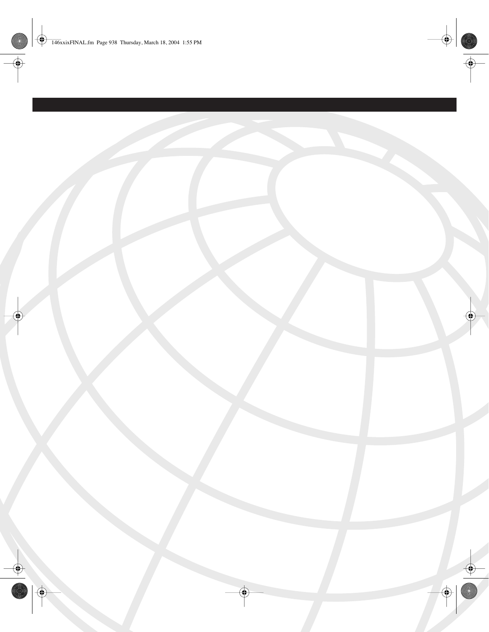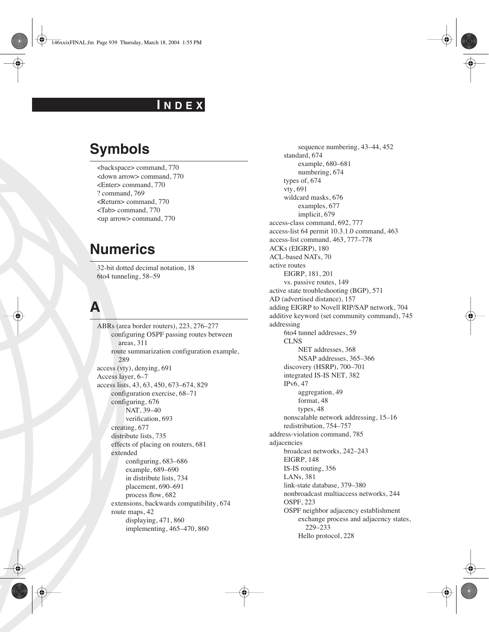#### **I N D E X**

### **Symbols**

<backspace> command, 770 <down arrow> command, 770 <Enter> command, 770

- ? command, 769
- <Return> command, 770
- <Tab> command, 770
- <up arrow> command, 770

## **Numerics**

32-bit dotted decimal notation, 18 6to4 tunneling, 58–59

# **A**

ABRs (area border routers), 223, 276–277 configuring OSPF passing routes between areas, 311 route summarization configuration example, 289 access (vty), denying, 691 Access layer, 6–7 access lists, 43, 63, 450, 673–674, 829 configuration exercise, 68–71 configuring, 676 NAT, 39–40 verification, 693 creating, 677 distribute lists, 735 effects of placing on routers, 681 extended configuring, 683–686 example, 689–690 in distribute lists, 734 placement, 690–691 process flow, 682 extensions, backwards compatibility, 674 route maps, 42 displaying, 471, 860 implementing, 465–470, 860

sequence numbering, 43–44, 452 standard, 674 example, 680–681 numbering, 674 types of, 674 vty, 691 wildcard masks, 676 examples, 677 implicit, 679 access-class command, 692, 777 access-list 64 permit 10.3.1.0 command, 463 access-list command, 463, 777–778 ACKs (EIGRP), 180 ACL-based NATs, 70 active routes EIGRP, 181, 201 vs. passive routes, 149 active state troubleshooting (BGP), 571 AD (advertised distance), 157 adding EIGRP to Novell RIP/SAP network, 704 additive keyword (set community command), 745 addressing 6to4 tunnel addresses, 59 CLNS NET addresses, 368 NSAP addresses, 365–366 discovery (HSRP), 700–701 integrated IS-IS NET, 382 IPv6, 47 aggregation, 49 format, 48 types, 48 nonscalable network addressing, 15–16 redistribution, 754–757 address-violation command, 785 adjacencies broadcast networks, 242–243 EIGRP, 148 IS-IS routing, 356 LANs, 381 link-state database, 379–380 nonbroadcast multiaccess networks, 244 OSPF, 223 OSPF neighbor adjacency establishment exchange process and adjacency states, 229–233 Hello protocol, 228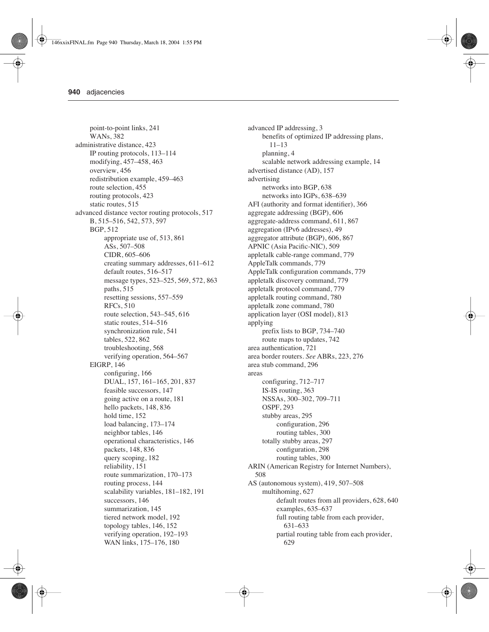point-to-point links, 241 WANs, 382 administrative distance, 423 IP routing protocols, 113–114 modifying, 457–458, 463 overview, 456 redistribution example, 459–463 route selection, 455 routing protocols, 423 static routes, 515 advanced distance vector routing protocols, 517 B, 515–516, 542, 573, 597 BGP, 512 appropriate use of, 513, 861 ASs, 507–508 CIDR, 605–606 creating summary addresses, 611–612 default routes, 516–517 message types, 523–525, 569, 572, 863 paths, 515 resetting sessions, 557–559 RFCs, 510 route selection, 543–545, 616 static routes, 514–516 synchronization rule, 541 tables, 522, 862 troubleshooting, 568 verifying operation, 564–567 EIGRP, 146 configuring, 166 DUAL, 157, 161–165, 201, 837 feasible successors, 147 going active on a route, 181 hello packets, 148, 836 hold time, 152 load balancing, 173–174 neighbor tables, 146 operational characteristics, 146 packets, 148, 836 query scoping, 182 reliability, 151 route summarization, 170–173 routing process, 144 scalability variables, 181–182, 191 successors, 146 summarization, 145 tiered network model, 192 topology tables, 146, 152 verifying operation, 192–193 WAN links, 175–176, 180

advanced IP addressing, 3 benefits of optimized IP addressing plans, 11–13 planning, 4 scalable network addressing example, 14 advertised distance (AD), 157 advertising networks into BGP, 638 networks into IGPs, 638–639 AFI (authority and format identifier), 366 aggregate addressing (BGP), 606 aggregate-address command, 611, 867 aggregation (IPv6 addresses), 49 aggregator attribute (BGP), 606, 867 APNIC (Asia Pacific-NIC), 509 appletalk cable-range command, 779 AppleTalk commands, 779 AppleTalk configuration commands, 779 appletalk discovery command, 779 appletalk protocol command, 779 appletalk routing command, 780 appletalk zone command, 780 application layer (OSI model), 813 applying prefix lists to BGP, 734–740 route maps to updates, 742 area authentication, 721 area border routers. *See* ABRs, 223, 276 area stub command, 296 areas configuring, 712–717 IS-IS routing, 363 NSSAs, 300–302, 709–711 OSPF, 293 stubby areas, 295 configuration, 296 routing tables, 300 totally stubby areas, 297 configuration, 298 routing tables, 300 ARIN (American Registry for Internet Numbers), 508 AS (autonomous system), 419, 507–508 multihoming, 627 default routes from all providers, 628, 640 examples, 635–637 full routing table from each provider, 631–633 partial routing table from each provider, 629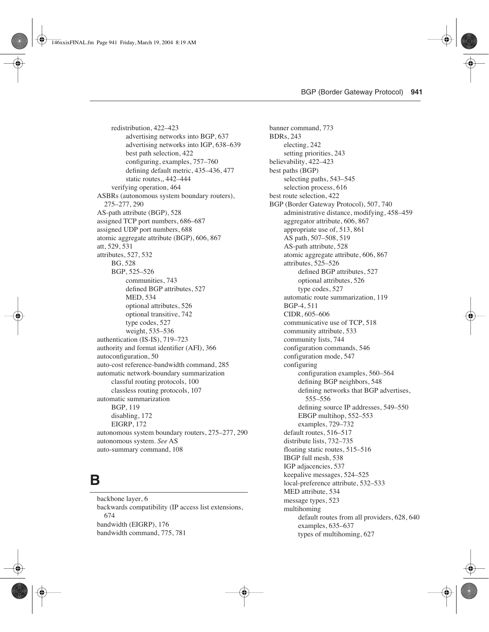redistribution, 422–423 advertising networks into BGP, 637 advertising networks into IGP, 638–639 best path selection, 422 configuring, examples, 757–760 defining default metric, 435–436, 477 static routes,, 442–444 verifying operation, 464 ASBRs (autonomous system boundary routers), 275–277, 290 AS-path attribute (BGP), 528 assigned TCP port numbers, 686–687 assigned UDP port numbers, 688 atomic aggregate attribute (BGP), 606, 867 att, 529, 531 attributes, 527, 532 BG, 528 BGP, 525–526 communities, 743 defined BGP attributes, 527 MED, 534 optional attributes, 526 optional transitive, 742 type codes, 527 weight, 535–536 authentication (IS-IS), 719–723 authority and format identifier (AFI), 366 autoconfiguration, 50 auto-cost reference-bandwidth command, 285 automatic network-boundary summarization classful routing protocols, 100 classless routing protocols, 107 automatic summarization BGP, 119 disabling, 172 EIGRP, 172 autonomous system boundary routers, 275–277, 290 autonomous system. *See* AS auto-summary command, 108

#### **B**

backbone layer, 6 backwards compatibility (IP access list extensions, 674 bandwidth (EIGRP), 176 bandwidth command, 775, 781

banner command, 773 BDRs, 243 electing, 242 setting priorities, 243 believability, 422–423 best paths (BGP) selecting paths, 543–545 selection process, 616 best route selection, 422 BGP (Border Gateway Protocol), 507, 740 administrative distance, modifying, 458–459 aggregator attribute, 606, 867 appropriate use of, 513, 861 AS path, 507–508, 519 AS-path attribute, 528 atomic aggregate attribute, 606, 867 attributes, 525–526 defined BGP attributes, 527 optional attributes, 526 type codes, 527 automatic route summarization, 119 BGP-4, 511 CIDR, 605–606 communicative use of TCP, 518 community attribute, 533 community lists, 744 configuration commands, 546 configuration mode, 547 configuring configuration examples, 560–564 defining BGP neighbors, 548 defining networks that BGP advertises, 555–556 defining source IP addresses, 549–550 EBGP multihop, 552–553 examples, 729–732 default routes, 516–517 distribute lists, 732–735 floating static routes, 515–516 IBGP full mesh, 538 IGP adjacencies, 537 keepalive messages, 524–525 local-preference attribute, 532–533 MED attribute, 534 message types, 523 multihoming default routes from all providers, 628, 640 examples, 635–637 types of multihoming, 627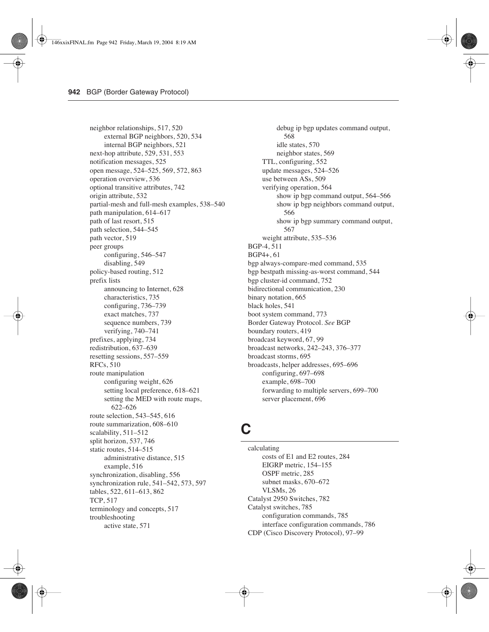neighbor relationships, 517, 520 external BGP neighbors, 520, 534 internal BGP neighbors, 521 next-hop attribute, 529, 531, 553 notification messages, 525 open message, 524–525, 569, 572, 863 operation overview, 536 optional transitive attributes, 742 origin attribute, 532 partial-mesh and full-mesh examples, 538–540 path manipulation, 614–617 path of last resort, 515 path selection, 544–545 path vector, 519 peer groups configuring, 546–547 disabling, 549 policy-based routing, 512 prefix lists announcing to Internet, 628 characteristics, 735 configuring, 736–739 exact matches, 737 sequence numbers, 739 verifying, 740–741 prefixes, applying, 734 redistribution, 637–639 resetting sessions, 557–559 RFCs, 510 route manipulation configuring weight, 626 setting local preference, 618–621 setting the MED with route maps, 622–626 route selection, 543–545, 616 route summarization, 608–610 scalability, 511–512 split horizon, 537, 746 static routes, 514–515 administrative distance, 515 example, 516 synchronization, disabling, 556 synchronization rule, 541–542, 573, 597 tables, 522, 611–613, 862 TCP, 517 terminology and concepts, 517 troubleshooting active state, 571

debug ip bgp updates command output, 568 idle states, 570 neighbor states, 569 TTL, configuring, 552 update messages, 524–526 use between ASs, 509 verifying operation, 564 show ip bgp command output, 564–566 show ip bgp neighbors command output, 566 show ip bgp summary command output, 567 weight attribute, 535–536 BGP-4, 511 BGP4+, 61 bgp always-compare-med command, 535 bgp bestpath missing-as-worst command, 544 bgp cluster-id command, 752 bidirectional communication, 230 binary notation, 665 black holes, 541 boot system command, 773 Border Gateway Protocol. *See* BGP boundary routers, 419 broadcast keyword, 67, 99 broadcast networks, 242–243, 376–377 broadcast storms, 695 broadcasts, helper addresses, 695–696 configuring, 697–698 example, 698–700 forwarding to multiple servers, 699–700 server placement, 696

#### **C**

calculating costs of E1 and E2 routes, 284 EIGRP metric, 154–155 OSPF metric, 285 subnet masks, 670–672 VLSMs, 26 Catalyst 2950 Switches, 782 Catalyst switches, 785 configuration commands, 785 interface configuration commands, 786 CDP (Cisco Discovery Protocol), 97–99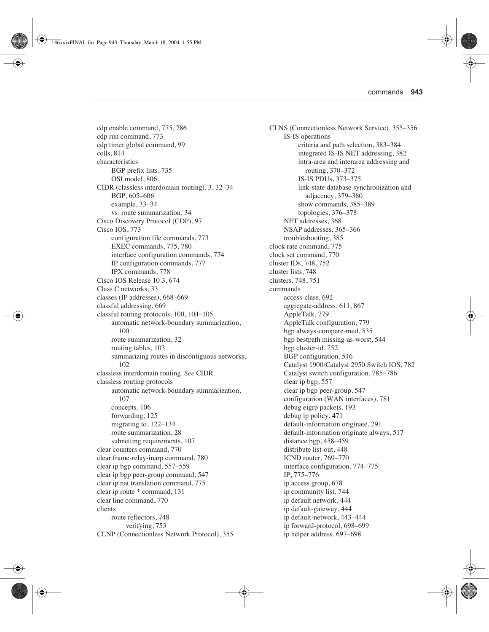cdp enable command, 775, 786 cdp run command, 773 cdp timer global command, 99 cells, 814 characteristics BGP prefix lists, 735 OSI model, 806 CIDR (classless interdomain routing), 3, 32–34 BGP, 605–606 example, 33–34 vs. route summarization, 34 Cisco Discovery Protocol (CDP), 97 Cisco IOS, 773 configuration file commands, 773 EXEC commands, 775, 780 interface configuration commands, 774 IP configuration commands, 777 IPX commands, 778 Cisco IOS Release 10.3, 674 Class C networks, 33 classes (IP addresses), 668–669 classful addressing, 669 classful routing protocols, 100, 104–105 automatic network-boundary summarization, 100 route summarization, 32 routing tables, 103 summarizing routes in discontiguous networks, 102 classless interdomain routing. *See* CIDR classless routing protocols automatic network-boundary summarization, 107 concepts, 106 forwarding, 125 migrating to, 122–134 route summarization, 28 subnetting requirements, 107 clear counters command, 770 clear frame-relay-inarp command, 780 clear ip bgp command, 557–559 clear ip bgp peer-group command, 547 clear ip nat translation command, 775 clear ip route \* command, 131 clear line command, 770 clients route reflectors, 748 verifying, 753 CLNP (Connectionless Network Protocol), 355

CLNS (Connectionless Network Service), 355–356 IS-IS operations criteria and path selection, 383–384 integrated IS-IS NET addressing, 382 intra-area and interarea addressing and routing, 370–372 IS-IS PDUs, 373–375 link-state database synchronization and adjacency, 379–380 show commands, 385–389 topologies, 376–378 NET addresses, 368 NSAP addresses, 365–366 troubleshooting, 385 clock rate command, 775 clock set command, 770 cluster IDs, 748, 752 cluster lists, 748 clusters, 748, 751 commands access-class, 692 aggregate-address, 611, 867 AppleTalk, 779 AppleTalk configuration, 779 bgp always-compare-med, 535 bgp bestpath missing-as-worst, 544 bgp cluster-id, 752 BGP configuration, 546 Catalyst 1900/Catalyst 2950 Switch IOS, 782 Catalyst switch configuration, 785–786 clear ip bgp, 557 clear ip bgp peer-group, 547 configuration (WAN interfaces), 781 debug eigrp packets, 193 debug ip policy, 471 default-information originate, 291 default-information originate always, 517 distance bgp, 458–459 distribute list-out, 448 ICND router, 769–770 interface configuration, 774–775 IP, 775–776 ip access group, 678 ip community list, 744 ip default network, 444 ip default-gateway, 444 ip default-network, 443–444 ip forward-protocol, 698–699 ip helper address, 697–698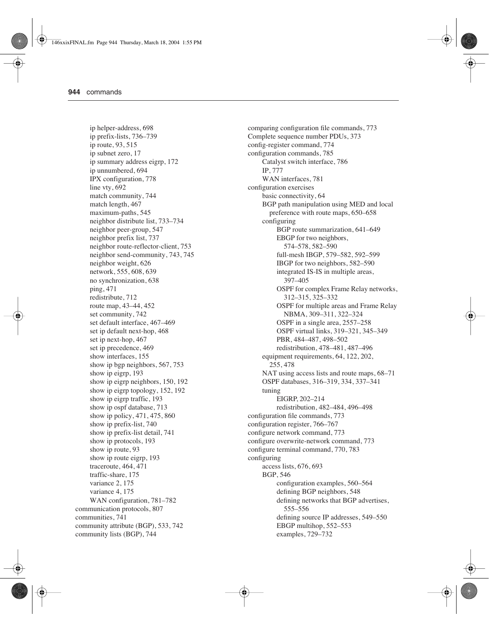ip helper-address, 698 ip prefix-lists, 736–739 ip route, 93, 515 ip subnet zero, 17 ip summary address eigrp, 172 ip unnumbered, 694 IPX configuration, 778 line vty, 692 match community, 744 match length, 467 maximum-paths, 545 neighbor distribute list, 733–734 neighbor peer-group, 547 neighbor prefix list, 737 neighbor route-reflector-client, 753 neighbor send-community, 743, 745 neighbor weight, 626 network, 555, 608, 639 no synchronization, 638 ping, 471 redistribute, 712 route map, 43–44, 452 set community, 742 set default interface, 467–469 set ip default next-hop, 468 set ip next-hop, 467 set ip precedence, 469 show interfaces, 155 show ip bgp neighbors, 567, 753 show ip eigrp, 193 show ip eigrp neighbors, 150, 192 show ip eigrp topology, 152, 192 show ip eigrp traffic, 193 show ip ospf database, 713 show ip policy, 471, 475, 860 show ip prefix-list, 740 show ip prefix-list detail, 741 show ip protocols, 193 show ip route, 93 show ip route eigrp, 193 traceroute, 464, 471 traffic-share, 175 variance 2, 175 variance 4, 175 WAN configuration, 781–782 communication protocols, 807 communities, 741 community attribute (BGP), 533, 742 community lists (BGP), 744

comparing configuration file commands, 773 Complete sequence number PDUs, 373 config-register command, 774 configuration commands, 785 Catalyst switch interface, 786 IP, 777 WAN interfaces, 781 configuration exercises basic connectivity, 64 BGP path manipulation using MED and local preference with route maps, 650–658 configuring BGP route summarization, 641–649 EBGP for two neighbors, 574–578, 582–590 full-mesh IBGP, 579–582, 592–599 IBGP for two neighbors, 582–590 integrated IS-IS in multiple areas, 397–405 OSPF for complex Frame Relay networks, 312–315, 325–332 OSPF for multiple areas and Frame Relay NBMA, 309–311, 322–324 OSPF in a single area, 2557–258 OSPF virtual links, 319–321, 345–349 PBR, 484–487, 498–502 redistribution, 478–481, 487–496 equipment requirements, 64, 122, 202, 255, 478 NAT using access lists and route maps, 68–71 OSPF databases, 316–319, 334, 337–341 tuning EIGRP, 202–214 redistribution, 482–484, 496–498 configuration file commands, 773 configuration register, 766–767 configure network command, 773 configure overwrite-network command, 773 configure terminal command, 770, 783 configuring access lists, 676, 693 BGP, 546 configuration examples, 560–564 defining BGP neighbors, 548 defining networks that BGP advertises, 555–556 defining source IP addresses, 549–550 EBGP multihop, 552–553 examples, 729–732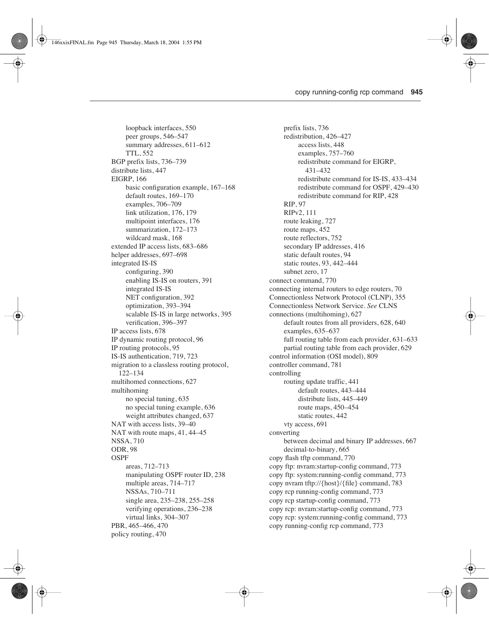loopback interfaces, 550 peer groups, 546–547 summary addresses, 611–612 TTL, 552 BGP prefix lists, 736–739 distribute lists, 447 EIGRP, 166 basic configuration example, 167–168 default routes, 169–170 examples, 706–709 link utilization, 176, 179 multipoint interfaces, 176 summarization, 172–173 wildcard mask, 168 extended IP access lists, 683–686 helper addresses, 697–698 integrated IS-IS configuring, 390 enabling IS-IS on routers, 391 integrated IS-IS NET configuration, 392 optimization, 393–394 scalable IS-IS in large networks, 395 verification, 396–397 IP access lists, 678 IP dynamic routing protocol, 96 IP routing protocols, 95 IS-IS authentication, 719, 723 migration to a classless routing protocol, 122–134 multihomed connections, 627 multihoming no special tuning, 635 no special tuning example, 636 weight attributes changed, 637 NAT with access lists, 39–40 NAT with route maps, 41, 44–45 NSSA, 710 ODR, 98 **OSPF** areas, 712–713 manipulating OSPF router ID, 238 multiple areas, 714–717 NSSAs, 710–711 single area, 235–238, 255–258 verifying operations, 236–238 virtual links, 304–307 PBR, 465–466, 470 policy routing, 470

prefix lists, 736 redistribution, 426–427 access lists, 448 examples, 757–760 redistribute command for EIGRP, 431–432 redistribute command for IS-IS, 433–434 redistribute command for OSPF, 429–430 redistribute command for RIP, 428 RIP, 97 RIPv2, 111 route leaking, 727 route maps, 452 route reflectors, 752 secondary IP addresses, 416 static default routes, 94 static routes, 93, 442–444 subnet zero, 17 connect command, 770 connecting internal routers to edge routers, 70 Connectionless Network Protocol (CLNP), 355 Connectionless Network Service. *See* CLNS connections (multihoming), 627 default routes from all providers, 628, 640 examples, 635–637 full routing table from each provider, 631–633 partial routing table from each provider, 629 control information (OSI model), 809 controller command, 781 controlling routing update traffic, 441 default routes, 443–444 distribute lists, 445–449 route maps, 450–454 static routes, 442 vty access, 691 converting between decimal and binary IP addresses, 667 decimal-to-binary, 665 copy flash tftp command, 770 copy ftp: nvram:startup-config command, 773 copy ftp: system:running-config command, 773 copy nvram tftp://{host}/{file} command, 783 copy rcp running-config command, 773 copy rcp startup-config command, 773 copy rcp: nvram:startup-config command, 773 copy rcp: system:running-config command, 773 copy running-config rcp command, 773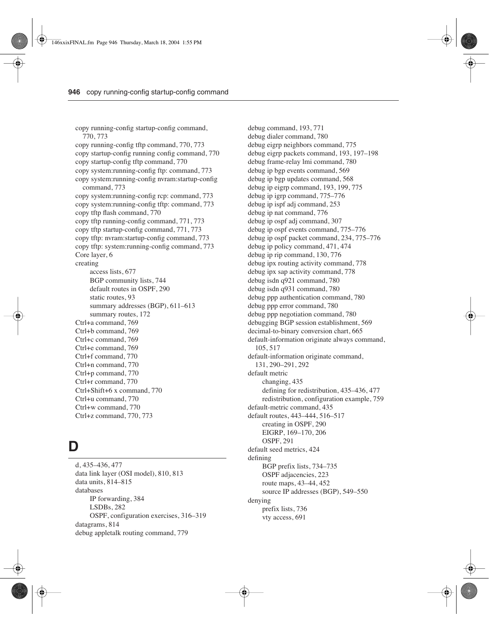copy running-config startup-config command, 770, 773 copy running-config tftp command, 770, 773 copy startup-config running config command, 770 copy startup-config tftp command, 770 copy system:running-config ftp: command, 773 copy system:running-config nvram:startup-config command, 773 copy system:running-config rcp: command, 773 copy system:running-config tftp: command, 773 copy tftp flash command, 770 copy tftp running-config command, 771, 773 copy tftp startup-config command, 771, 773 copy tftp: nvram:startup-config command, 773 copy tftp: system:running-config command, 773 Core layer, 6 creating access lists, 677 BGP community lists, 744 default routes in OSPF, 290 static routes, 93 summary addresses (BGP), 611–613 summary routes, 172 Ctrl+a command, 769 Ctrl+b command, 769 Ctrl+c command, 769 Ctrl+e command, 769 Ctrl+f command, 770 Ctrl+n command, 770 Ctrl+p command, 770 Ctrl+r command, 770 Ctrl+Shift+6 x command, 770 Ctrl+u command, 770 Ctrl+w command, 770 Ctrl+z command, 770, 773

### **D**

d, 435–436, 477 data link layer (OSI model), 810, 813 data units, 814–815 databases IP forwarding, 384 LSDBs, 282 OSPF, configuration exercises, 316–319 datagrams, 814 debug appletalk routing command, 779

debug command, 193, 771 debug dialer command, 780 debug eigrp neighbors command, 775 debug eigrp packets command, 193, 197–198 debug frame-relay lmi command, 780 debug ip bgp events command, 569 debug ip bgp updates command, 568 debug ip eigrp command, 193, 199, 775 debug ip igrp command, 775–776 debug ip ispf adj command, 253 debug ip nat command, 776 debug ip ospf adj command, 307 debug ip ospf events command, 775–776 debug ip ospf packet command, 234, 775–776 debug ip policy command, 471, 474 debug ip rip command, 130, 776 debug ipx routing activity command, 778 debug ipx sap activity command, 778 debug isdn q921 command, 780 debug isdn q931 command, 780 debug ppp authentication command, 780 debug ppp error command, 780 debug ppp negotiation command, 780 debugging BGP session establishment, 569 decimal-to-binary conversion chart, 665 default-information originate always command, 105, 517 default-information originate command, 131, 290–291, 292 default metric changing, 435 defining for redistribution, 435–436, 477 redistribution, configuration example, 759 default-metric command, 435 default routes, 443–444, 516–517 creating in OSPF, 290 EIGRP, 169–170, 206 OSPF, 291 default seed metrics, 424 defining BGP prefix lists, 734–735 OSPF adjacencies, 223 route maps, 43–44, 452 source IP addresses (BGP), 549–550 denying prefix lists, 736 vty access, 691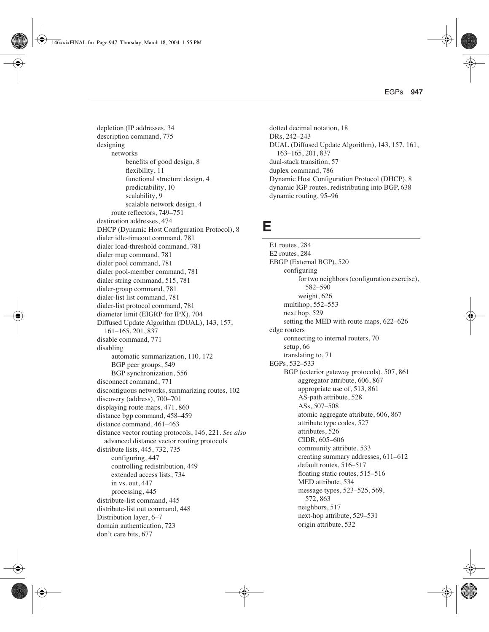**947** EGPs

depletion (IP addresses, 34 description command, 775 designing networks benefits of good design, 8 flexibility, 11 functional structure design, 4 predictability, 10 scalability, 9 scalable network design, 4 route reflectors, 749–751 destination addresses, 474 DHCP (Dynamic Host Configuration Protocol), 8 dialer idle-timeout command, 781 dialer load-threshold command, 781 dialer map command, 781 dialer pool command, 781 dialer pool-member command, 781 dialer string command, 515, 781 dialer-group command, 781 dialer-list list command, 781 dialer-list protocol command, 781 diameter limit (EIGRP for IPX), 704 Diffused Update Algorithm (DUAL), 143, 157, 161–165, 201, 837 disable command, 771 disabling automatic summarization, 110, 172 BGP peer groups, 549 BGP synchronization, 556 disconnect command, 771 discontiguous networks, summarizing routes, 102 discovery (address), 700–701 displaying route maps, 471, 860 distance bgp command, 458–459 distance command, 461–463 distance vector routing protocols, 146, 221. *See also* advanced distance vector routing protocols distribute lists, 445, 732, 735 configuring, 447 controlling redistribution, 449 extended access lists, 734 in vs. out, 447 processing, 445 distribute-list command, 445 distribute-list out command, 448 Distribution layer, 6–7 domain authentication, 723 don't care bits, 677

dotted decimal notation, 18 DRs, 242–243 DUAL (Diffused Update Algorithm), 143, 157, 161, 163–165, 201, 837 dual-stack transition, 57 duplex command, 786 Dynamic Host Configuration Protocol (DHCP), 8 dynamic IGP routes, redistributing into BGP, 638 dynamic routing, 95–96

#### **E**

E1 routes, 284 E2 routes, 284 EBGP (External BGP), 520 configuring for two neighbors (configuration exercise), 582–590 weight, 626 multihop, 552–553 next hop, 529 setting the MED with route maps, 622–626 edge routers connecting to internal routers, 70 setup, 66 translating to, 71 EGPs, 532–533 BGP (exterior gateway protocols), 507, 861 aggregator attribute, 606, 867 appropriate use of, 513, 861 AS-path attribute, 528 ASs, 507–508 atomic aggregate attribute, 606, 867 attribute type codes, 527 attributes, 526 CIDR, 605–606 community attribute, 533 creating summary addresses, 611–612 default routes, 516–517 floating static routes, 515–516 MED attribute, 534 message types, 523–525, 569, 572, 863 neighbors, 517 next-hop attribute, 529–531 origin attribute, 532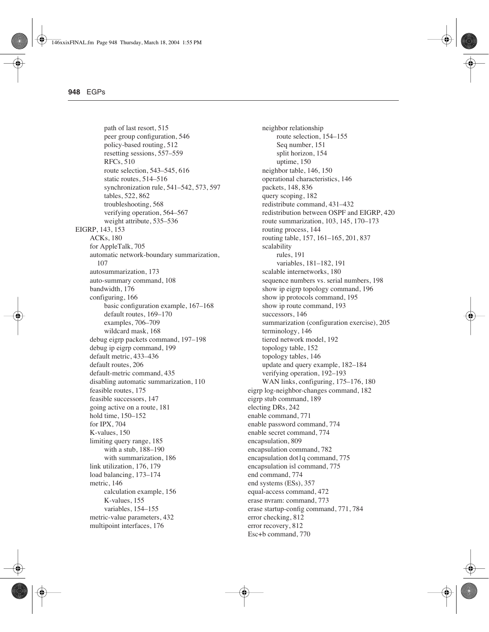path of last resort, 515 peer group configuration, 546 policy-based routing, 512 resetting sessions, 557–559 RFCs, 510 route selection, 543–545, 616 static routes, 514–516 synchronization rule, 541–542, 573, 597 tables, 522, 862 troubleshooting, 568 verifying operation, 564–567 weight attribute, 535–536 EIGRP, 143, 153 ACKs, 180 for AppleTalk, 705 automatic network-boundary summarization, 107 autosummarization, 173 auto-summary command, 108 bandwidth, 176 configuring, 166 basic configuration example, 167–168 default routes, 169–170 examples, 706–709 wildcard mask, 168 debug eigrp packets command, 197–198 debug ip eigrp command, 199 default metric, 433–436 default routes, 206 default-metric command, 435 disabling automatic summarization, 110 feasible routes, 175 feasible successors, 147 going active on a route, 181 hold time, 150–152 for IPX, 704 K-values, 150 limiting query range, 185 with a stub, 188–190 with summarization, 186 link utilization, 176, 179 load balancing, 173–174 metric, 146 calculation example, 156 K-values, 155 variables, 154–155 metric-value parameters, 432 multipoint interfaces, 176

neighbor relationship route selection, 154–155 Seq number, 151 split horizon, 154 uptime, 150 neighbor table, 146, 150 operational characteristics, 146 packets, 148, 836 query scoping, 182 redistribute command, 431–432 redistribution between OSPF and EIGRP, 420 route summarization, 103, 145, 170–173 routing process, 144 routing table, 157, 161–165, 201, 837 scalability rules, 191 variables, 181–182, 191 scalable internetworks, 180 sequence numbers vs. serial numbers, 198 show ip eigrp topology command, 196 show ip protocols command, 195 show ip route command, 193 successors, 146 summarization (configuration exercise), 205 terminology, 146 tiered network model, 192 topology table, 152 topology tables, 146 update and query example, 182–184 verifying operation, 192–193 WAN links, configuring, 175–176, 180 eigrp log-neighbor-changes command, 182 eigrp stub command, 189 electing DRs, 242 enable command, 771 enable password command, 774 enable secret command, 774 encapsulation, 809 encapsulation command, 782 encapsulation dot1q command, 775 encapsulation isl command, 775 end command, 774 end systems (ESs), 357 equal-access command, 472 erase nvram: command, 773 erase startup-config command, 771, 784 error checking, 812 error recovery, 812 Esc+b command, 770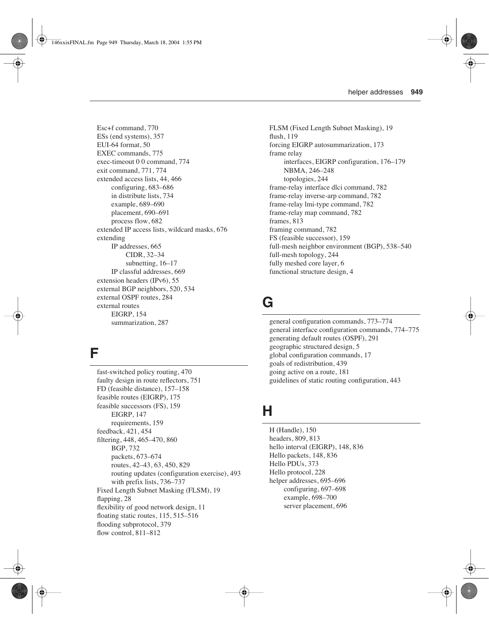Esc+f command, 770 ESs (end systems), 357 EUI-64 format, 50 EXEC commands, 775 exec-timeout 0 0 command, 774 exit command, 771, 774 extended access lists, 44, 466 configuring, 683–686 in distribute lists, 734 example, 689–690 placement, 690–691 process flow, 682 extended IP access lists, wildcard masks, 676 extending IP addresses, 665 CIDR, 32–34 subnetting, 16–17 IP classful addresses, 669 extension headers (IPv6), 55 external BGP neighbors, 520, 534 external OSPF routes, 284 external routes EIGRP, 154 summarization, 287

# **F**

fast-switched policy routing, 470 faulty design in route reflectors, 751 FD (feasible distance), 157–158 feasible routes (EIGRP), 175 feasible successors (FS), 159 EIGRP, 147 requirements, 159 feedback, 421, 454 filtering, 448, 465–470, 860 BGP, 732 packets, 673–674 routes, 42–43, 63, 450, 829 routing updates (configuration exercise), 493 with prefix lists, 736–737 Fixed Length Subnet Masking (FLSM), 19 flapping, 28 flexibility of good network design, 11 floating static routes, 115, 515–516 flooding subprotocol, 379 flow control, 811–812

FLSM (Fixed Length Subnet Masking), 19 flush, 119 forcing EIGRP autosummarization, 173 frame relay interfaces, EIGRP configuration, 176–179 NBMA, 246–248 topologies, 244 frame-relay interface dlci command, 782 frame-relay inverse-arp command, 782 frame-relay lmi-type command, 782 frame-relay map command, 782 frames, 813 framing command, 782 FS (feasible successor), 159 full-mesh neighbor environment (BGP), 538–540 full-mesh topology, 244 fully meshed core layer, 6 functional structure design, 4

# **G**

general configuration commands, 773–774 general interface configuration commands, 774–775 generating default routes (OSPF), 291 geographic structured design, 5 global configuration commands, 17 goals of redistribution, 439 going active on a route, 181 guidelines of static routing configuration, 443

## **H**

H (Handle), 150 headers, 809, 813 hello interval (EIGRP), 148, 836 Hello packets, 148, 836 Hello PDUs, 373 Hello protocol, 228 helper addresses, 695–696 configuring, 697–698 example, 698–700 server placement, 696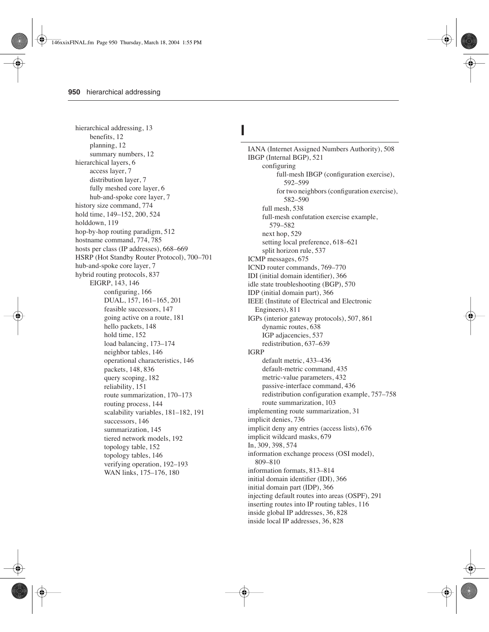hierarchical addressing, 13 benefits, 12 planning, 12 summary numbers, 12 hierarchical layers, 6 access layer, 7 distribution layer, 7 fully meshed core layer, 6 hub-and-spoke core layer, 7 history size command, 774 hold time, 149–152, 200, 524 holddown, 119 hop-by-hop routing paradigm, 512 hostname command, 774, 785 hosts per class (IP addresses), 668–669 HSRP (Hot Standby Router Protocol), 700–701 hub-and-spoke core layer, 7 hybrid routing protocols, 837 EIGRP, 143, 146 configuring, 166 DUAL, 157, 161–165, 201 feasible successors, 147 going active on a route, 181 hello packets, 148 hold time, 152 load balancing, 173–174 neighbor tables, 146 operational characteristics, 146 packets, 148, 836 query scoping, 182 reliability, 151 route summarization, 170–173 routing process, 144 scalability variables, 181–182, 191 successors, 146 summarization, 145 tiered network models, 192 topology table, 152 topology tables, 146 verifying operation, 192–193 WAN links, 175–176, 180

IANA (Internet Assigned Numbers Authority), 508 IBGP (Internal BGP), 521 configuring full-mesh IBGP (configuration exercise), 592–599 for two neighbors (configuration exercise), 582–590 full mesh, 538 full-mesh confutation exercise example, 579–582 next hop, 529 setting local preference, 618–621 split horizon rule, 537 ICMP messages, 675 ICND router commands, 769–770 IDI (initial domain identifier), 366 idle state troubleshooting (BGP), 570 IDP (initial domain part), 366 IEEE (Institute of Electrical and Electronic Engineers), 811 IGPs (interior gateway protocols), 507, 861 dynamic routes, 638 IGP adjacencies, 537 redistribution, 637–639 IGRP default metric, 433–436 default-metric command, 435 metric-value parameters, 432 passive-interface command, 436 redistribution configuration example, 757–758 route summarization, 103 implementing route summarization, 31 implicit denies, 736 implicit deny any entries (access lists), 676 implicit wildcard masks, 679 In, 309, 398, 574 information exchange process (OSI model), 809–810 information formats, 813–814 initial domain identifier (IDI), 366 initial domain part (IDP), 366 injecting default routes into areas (OSPF), 291 inserting routes into IP routing tables, 116 inside global IP addresses, 36, 828

inside local IP addresses, 36, 828

**I**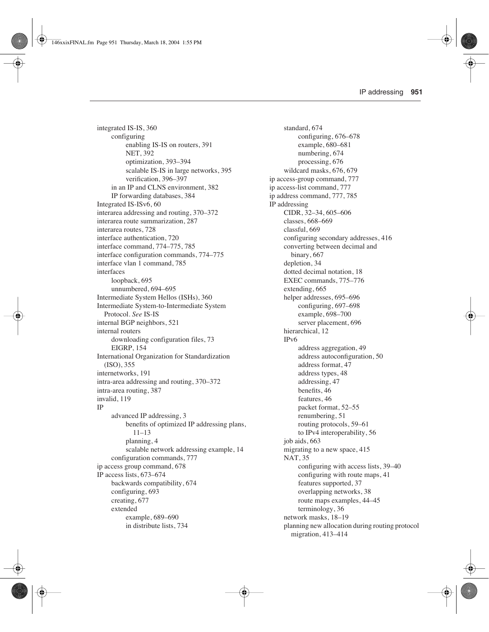integrated IS-IS, 360 configuring enabling IS-IS on routers, 391 NET, 392 optimization, 393–394 scalable IS-IS in large networks, 395 verification, 396–397 in an IP and CLNS environment, 382 IP forwarding databases, 384 Integrated IS-ISv6, 60 interarea addressing and routing, 370–372 interarea route summarization, 287 interarea routes, 728 interface authentication, 720 interface command, 774–775, 785 interface configuration commands, 774–775 interface vlan 1 command, 785 interfaces loopback, 695 unnumbered, 694–695 Intermediate System Hellos (ISHs), 360 Intermediate System-to-Intermediate System Protocol. *See* IS-IS internal BGP neighbors, 521 internal routers downloading configuration files, 73 EIGRP, 154 International Organization for Standardization (ISO), 355 internetworks, 191 intra-area addressing and routing, 370–372 intra-area routing, 387 invalid, 119 IP advanced IP addressing, 3 benefits of optimized IP addressing plans, 11–13 planning, 4 scalable network addressing example, 14 configuration commands, 777 ip access group command, 678 IP access lists, 673–674 backwards compatibility, 674 configuring, 693 creating, 677 extended example, 689–690 in distribute lists, 734

standard, 674 configuring, 676–678 example, 680–681 numbering, 674 processing, 676 wildcard masks, 676, 679 ip access-group command, 777 ip access-list command, 777 ip address command, 777, 785 IP addressing CIDR, 32–34, 605–606 classes, 668–669 classful, 669 configuring secondary addresses, 416 converting between decimal and binary, 667 depletion, 34 dotted decimal notation, 18 EXEC commands, 775–776 extending, 665 helper addresses, 695–696 configuring, 697–698 example, 698–700 server placement, 696 hierarchical, 12 IPv6 address aggregation, 49 address autoconfiguration, 50 address format, 47 address types, 48 addressing, 47 benefits, 46 features, 46 packet format, 52–55 renumbering, 51 routing protocols, 59–61 to IPv4 interoperability, 56 job aids, 663 migrating to a new space, 415 NAT, 35 configuring with access lists, 39–40 configuring with route maps, 41 features supported, 37 overlapping networks, 38 route maps examples, 44–45 terminology, 36 network masks, 18–19 planning new allocation during routing protocol migration, 413–414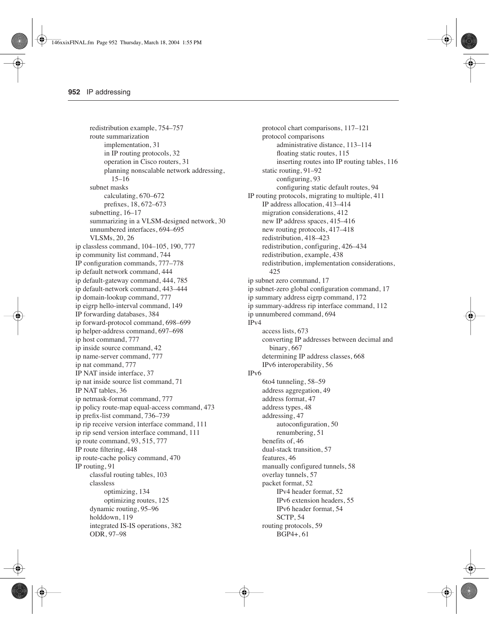redistribution example, 754–757 route summarization implementation, 31 in IP routing protocols, 32 operation in Cisco routers, 31 planning nonscalable network addressing, 15–16 subnet masks calculating, 670–672 prefixes, 18, 672–673 subnetting, 16–17 summarizing in a VLSM-designed network, 30 unnumbered interfaces, 694–695 VLSMs, 20, 26 ip classless command, 104–105, 190, 777 ip community list command, 744 IP configuration commands, 777–778 ip default network command, 444 ip default-gateway command, 444, 785 ip default-network command, 443–444 ip domain-lookup command, 777 ip eigrp hello-interval command, 149 IP forwarding databases, 384 ip forward-protocol command, 698–699 ip helper-address command, 697–698 ip host command, 777 ip inside source command, 42 ip name-server command, 777 ip nat command, 777 IP NAT inside interface, 37 ip nat inside source list command, 71 IP NAT tables, 36 ip netmask-format command, 777 ip policy route-map equal-access command, 473 ip prefix-list command, 736–739 ip rip receive version interface command, 111 ip rip send version interface command, 111 ip route command, 93, 515, 777 IP route filtering, 448 ip route-cache policy command, 470 IP routing, 91 classful routing tables, 103 classless optimizing, 134 optimizing routes, 125 dynamic routing, 95–96 holddown, 119 integrated IS-IS operations, 382 ODR, 97–98

protocol chart comparisons, 117–121 protocol comparisons administrative distance, 113–114 floating static routes, 115 inserting routes into IP routing tables, 116 static routing, 91–92 configuring, 93 configuring static default routes, 94 IP routing protocols, migrating to multiple, 411 IP address allocation, 413–414 migration considerations, 412 new IP address spaces, 415–416 new routing protocols, 417–418 redistribution, 418–423 redistribution, configuring, 426–434 redistribution, example, 438 redistribution, implementation considerations, 425 ip subnet zero command, 17 ip subnet-zero global configuration command, 17 ip summary address eigrp command, 172 ip summary-address rip interface command, 112 ip unnumbered command, 694 IPv4 access lists, 673 converting IP addresses between decimal and binary, 667 determining IP address classes, 668 IPv6 interoperability, 56 IPv6 6to4 tunneling, 58–59 address aggregation, 49 address format, 47 address types, 48 addressing, 47 autoconfiguration, 50 renumbering, 51 benefits of, 46 dual-stack transition, 57 features, 46 manually configured tunnels, 58 overlay tunnels, 57 packet format, 52 IPv4 header format, 52 IPv6 extension headers, 55 IPv6 header format, 54 SCTP, 54 routing protocols, 59 BGP4+, 61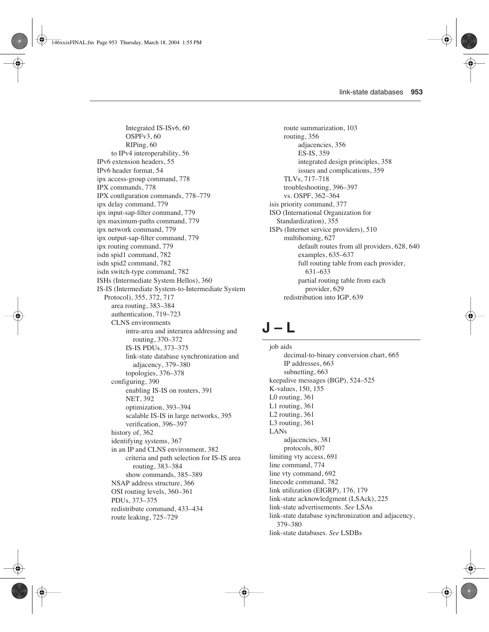Integrated IS-ISv6, 60 OSPFv3, 60 RIPing, 60 to IPv4 interoperability, 56 IPv6 extension headers, 55 IPv6 header format, 54 ipx access-group command, 778 IPX commands, 778 IPX configuration commands, 778–779 ipx delay command, 779 ipx input-sap-filter command, 779 ipx maximum-paths command, 779 ipx network command, 779 ipx output-sap-filter command, 779 ipx routing command, 779 isdn spid1 command, 782 isdn spid2 command, 782 isdn switch-type command, 782 ISHs (Intermediate System Hellos), 360 IS-IS (Intermediate System-to-Intermediate System Protocol), 355, 372, 717 area routing, 383–384 authentication, 719–723 CLNS environments intra-area and interarea addressing and routing, 370–372 IS-IS PDUs, 373–375 link-state database synchronization and adjacency, 379–380 topologies, 376–378 configuring, 390 enabling IS-IS on routers, 391 NET, 392 optimization, 393–394 scalable IS-IS in large networks, 395 verification, 396–397 history of, 362 identifying systems, 367 in an IP and CLNS environment, 382 criteria and path selection for IS-IS area routing, 383–384 show commands, 385–389 NSAP address structure, 366 OSI routing levels, 360–361 PDUs, 373–375 redistribute command, 433–434 route leaking, 725–729

route summarization, 103 routing, 356 adjacencies, 356 ES-IS, 359 integrated design principles, 358 issues and complications, 359 TLVs, 717–718 troubleshooting, 396–397 vs. OSPF, 362–364 isis priority command, 377 ISO (International Organization for Standardization), 355 ISPs (Internet service providers), 510 multihoming, 627 default routes from all providers, 628, 640 examples, 635–637 full routing table from each provider, 631–633 partial routing table from each provider, 629 redistribution into IGP, 639

# **J – L**

job aids decimal-to-binary conversion chart, 665 IP addresses, 663 subnetting, 663 keepalive messages (BGP), 524–525 K-values, 150, 155 L0 routing, 361 L1 routing, 361 L2 routing, 361 L3 routing, 361 LANs adjacencies, 381 protocols, 807 limiting vty access, 691 line command, 774 line vty command, 692 linecode command, 782 link utilization (EIGRP), 176, 179 link-state acknowledgment (LSAck), 225 link-state advertisements. *See* LSAs link-state database synchronization and adjacency, 379–380 link-state databases. *See* LSDBs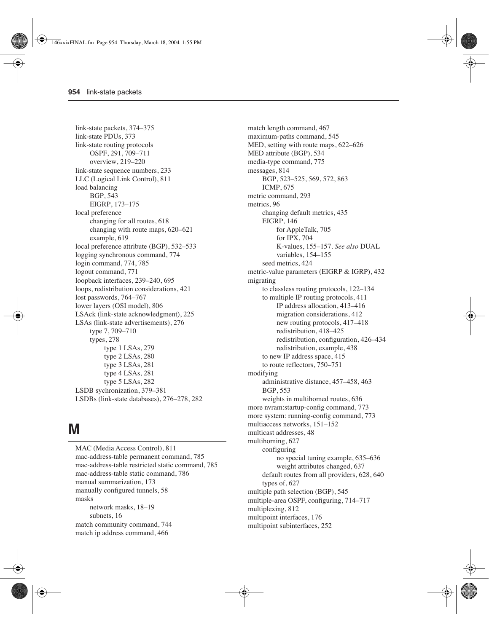link-state packets, 374–375 link-state PDUs, 373 link-state routing protocols OSPF, 291, 709–711 overview, 219–220 link-state sequence numbers, 233 LLC (Logical Link Control), 811 load balancing BGP, 543 EIGRP, 173–175 local preference changing for all routes, 618 changing with route maps, 620–621 example, 619 local preference attribute (BGP), 532–533 logging synchronous command, 774 login command, 774, 785 logout command, 771 loopback interfaces, 239–240, 695 loops, redistribution considerations, 421 lost passwords, 764–767 lower layers (OSI model), 806 LSAck (link-state acknowledgment), 225 LSAs (link-state advertisements), 276 type 7, 709–710 types, 278 type 1 LSAs, 279 type 2 LSAs, 280 type 3 LSAs, 281 type 4 LSAs, 281 type 5 LSAs, 282 LSDB sychronization, 379–381 LSDBs (link-state databases), 276–278, 282

### **M**

MAC (Media Access Control), 811 mac-address-table permanent command, 785 mac-address-table restricted static command, 785 mac-address-table static command, 786 manual summarization, 173 manually configured tunnels, 58 masks network masks, 18–19 subnets, 16 match community command, 744 match ip address command, 466

match length command, 467 maximum-paths command, 545 MED, setting with route maps, 622–626 MED attribute (BGP), 534 media-type command, 775 messages, 814 BGP, 523–525, 569, 572, 863 ICMP, 675 metric command, 293 metrics, 96 changing default metrics, 435 EIGRP, 146 for AppleTalk, 705 for IPX, 704 K-values, 155–157. *See also* DUAL variables, 154–155 seed metrics, 424 metric-value parameters (EIGRP & IGRP), 432 migrating to classless routing protocols, 122–134 to multiple IP routing protocols, 411 IP address allocation, 413–416 migration considerations, 412 new routing protocols, 417–418 redistribution, 418–425 redistribution, configuration, 426–434 redistribution, example, 438 to new IP address space, 415 to route reflectors, 750–751 modifying administrative distance, 457–458, 463 BGP, 553 weights in multihomed routes, 636 more nvram:startup-config command, 773 more system: running-config command, 773 multiaccess networks, 151–152 multicast addresses, 48 multihoming, 627 configuring no special tuning example, 635–636 weight attributes changed, 637 default routes from all providers, 628, 640 types of, 627 multiple path selection (BGP), 545 multiple-area OSPF, configuring, 714–717 multiplexing, 812 multipoint interfaces, 176 multipoint subinterfaces, 252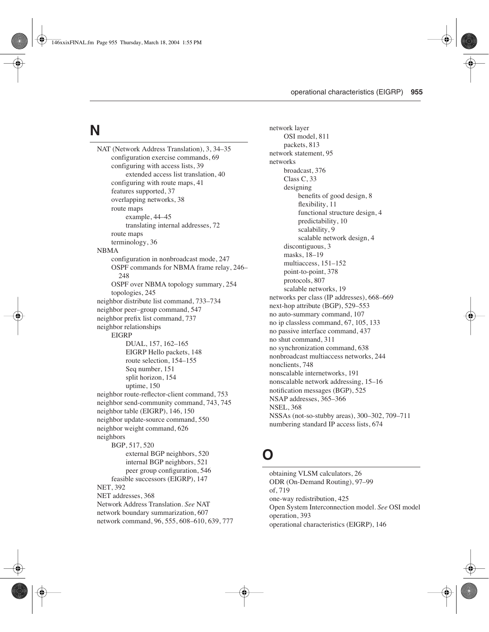# **N**

NAT (Network Address Translation), 3, 34–35 configuration exercise commands, 69 configuring with access lists, 39 extended access list translation, 40 configuring with route maps, 41 features supported, 37 overlapping networks, 38 route maps example, 44–45 translating internal addresses, 72 route maps terminology, 36 NBMA configuration in nonbroadcast mode, 247 OSPF commands for NBMA frame relay, 246– 248 OSPF over NBMA topology summary, 254 topologies, 245 neighbor distribute list command, 733–734 neighbor peer–group command, 547 neighbor prefix list command, 737 neighbor relationships **EIGRP** DUAL, 157, 162–165 EIGRP Hello packets, 148 route selection, 154–155 Seq number, 151 split horizon, 154 uptime, 150 neighbor route-reflector-client command, 753 neighbor send-community command, 743, 745 neighbor table (EIGRP), 146, 150 neighbor update-source command, 550 neighbor weight command, 626 neighbors BGP, 517, 520 external BGP neighbors, 520 internal BGP neighbors, 521 peer group configuration, 546 feasible successors (EIGRP), 147 NET, 392 NET addresses, 368 Network Address Translation. *See* NAT network boundary summarization, 607 network command, 96, 555, 608–610, 639, 777

network layer OSI model, 811 packets, 813 network statement, 95 networks broadcast, 376 Class C, 33 designing benefits of good design, 8 flexibility, 11 functional structure design, 4 predictability, 10 scalability, 9 scalable network design, 4 discontiguous, 3 masks, 18–19 multiaccess, 151–152 point-to-point, 378 protocols, 807 scalable networks, 19 networks per class (IP addresses), 668–669 next-hop attribute (BGP), 529–553 no auto-summary command, 107 no ip classless command, 67, 105, 133 no passive interface command, 437 no shut command, 311 no synchronization command, 638 nonbroadcast multiaccess networks, 244 nonclients, 748 nonscalable internetworks, 191 nonscalable network addressing, 15–16 notification messages (BGP), 525 NSAP addresses, 365–366 NSEL, 368 NSSAs (not-so-stubby areas), 300–302, 709–711 numbering standard IP access lists, 674

### **O**

obtaining VLSM calculators, 26 ODR (On-Demand Routing), 97–99 of, 719 one-way redistribution, 425 Open System Interconnection model. *See* OSI model operation, 393 operational characteristics (EIGRP), 146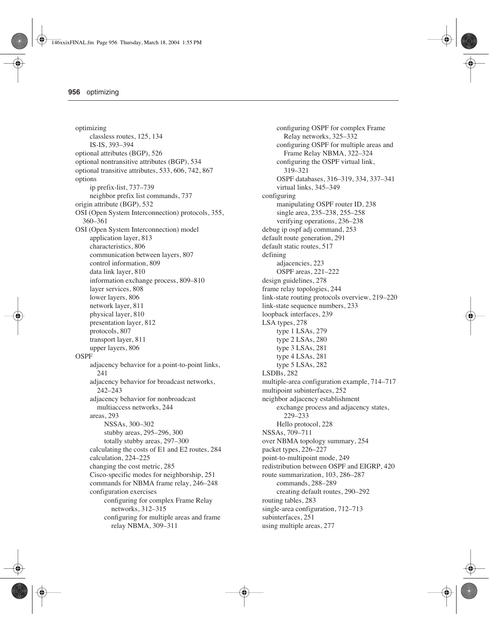optimizing classless routes, 125, 134 IS-IS, 393–394 optional attributes (BGP), 526 optional nontransitive attributes (BGP), 534 optional transitive attributes, 533, 606, 742, 867 options ip prefix-list, 737–739 neighbor prefix list commands, 737 origin attribute (BGP), 532 OSI (Open System Interconnection) protocols, 355, 360–361 OSI (Open System Interconnection) model application layer, 813 characteristics, 806 communication between layers, 807 control information, 809 data link layer, 810 information exchange process, 809–810 layer services, 808 lower layers, 806 network layer, 811 physical layer, 810 presentation layer, 812 protocols, 807 transport layer, 811 upper layers, 806 OSPF adjacency behavior for a point-to-point links, 241 adjacency behavior for broadcast networks, 242–243 adjacency behavior for nonbroadcast multiaccess networks, 244 areas, 293 NSSAs, 300–302 stubby areas, 295–296, 300 totally stubby areas, 297–300 calculating the costs of E1 and E2 routes, 284 calculation, 224–225 changing the cost metric, 285 Cisco-specific modes for neighborship, 251 commands for NBMA frame relay, 246–248 configuration exercises configuring for complex Frame Relay networks, 312–315 configuring for multiple areas and frame relay NBMA, 309–311

configuring OSPF for complex Frame Relay networks, 325–332 configuring OSPF for multiple areas and Frame Relay NBMA, 322–324 configuring the OSPF virtual link, 319–321 OSPF databases, 316–319, 334, 337–341 virtual links, 345–349 configuring manipulating OSPF router ID, 238 single area, 235–238, 255–258 verifying operations, 236–238 debug ip ospf adj command, 253 default route generation, 291 default static routes, 517 defining adjacencies, 223 OSPF areas, 221–222 design guidelines, 278 frame relay topologies, 244 link-state routing protocols overview, 219–220 link-state sequence numbers, 233 loopback interfaces, 239 LSA types, 278 type 1 LSAs, 279 type 2 LSAs, 280 type 3 LSAs, 281 type 4 LSAs, 281 type 5 LSAs, 282 LSDBs, 282 multiple-area configuration example, 714–717 multipoint subinterfaces, 252 neighbor adjacency establishment exchange process and adjacency states, 229–233 Hello protocol, 228 NSSAs, 709–711 over NBMA topology summary, 254 packet types, 226–227 point-to-multipoint mode, 249 redistribution between OSPF and EIGRP, 420 route summarization, 103, 286–287 commands, 288–289 creating default routes, 290–292 routing tables, 283 single-area configuration, 712–713 subinterfaces, 251 using multiple areas, 277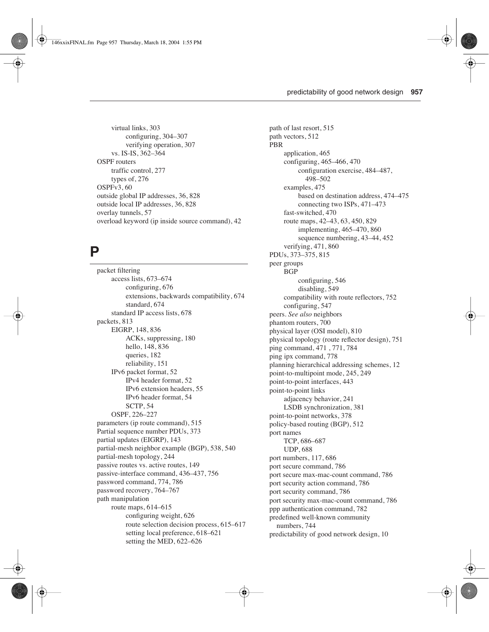virtual links, 303 configuring, 304–307 verifying operation, 307 vs. IS-IS, 362–364 OSPF routers traffic control, 277 types of, 276 OSPFv3, 60 outside global IP addresses, 36, 828 outside local IP addresses, 36, 828 overlay tunnels, 57 overload keyword (ip inside source command), 42

#### **P**

packet filtering access lists, 673–674 configuring, 676 extensions, backwards compatibility, 674 standard, 674 standard IP access lists, 678 packets, 813 EIGRP, 148, 836 ACKs, suppressing, 180 hello, 148, 836 queries, 182 reliability, 151 IPv6 packet format, 52 IPv4 header format, 52 IPv6 extension headers, 55 IPv6 header format, 54 SCTP, 54 OSPF, 226–227 parameters (ip route command), 515 Partial sequence number PDUs, 373 partial updates (EIGRP), 143 partial-mesh neighbor example (BGP), 538, 540 partial-mesh topology, 244 passive routes vs. active routes, 149 passive-interface command, 436–437, 756 password command, 774, 786 password recovery, 764–767 path manipulation route maps, 614–615 configuring weight, 626 route selection decision process, 615–617 setting local preference, 618–621 setting the MED, 622–626

path of last resort, 515 path vectors, 512 PBR application, 465 configuring, 465–466, 470 configuration exercise, 484–487, 498–502 examples, 475 based on destination address, 474–475 connecting two ISPs, 471–473 fast-switched, 470 route maps, 42–43, 63, 450, 829 implementing, 465–470, 860 sequence numbering, 43–44, 452 verifying, 471, 860 PDUs, 373–375, 815 peer groups BGP configuring, 546 disabling, 549 compatibility with route reflectors, 752 configuring, 547 peers. *See also* neighbors phantom routers, 700 physical layer (OSI model), 810 physical topology (route reflector design), 751 ping command, 471 , 771, 784 ping ipx command, 778 planning hierarchical addressing schemes, 12 point-to-multipoint mode, 245, 249 point-to-point interfaces, 443 point-to-point links adjacency behavior, 241 LSDB synchronization, 381 point-to-point networks, 378 policy-based routing (BGP), 512 port names TCP, 686–687 UDP, 688 port numbers, 117, 686 port secure command, 786 port secure max-mac-count command, 786 port security action command, 786 port security command, 786 port security max-mac-count command, 786 ppp authentication command, 782 predefined well-known community numbers, 744 predictability of good network design, 10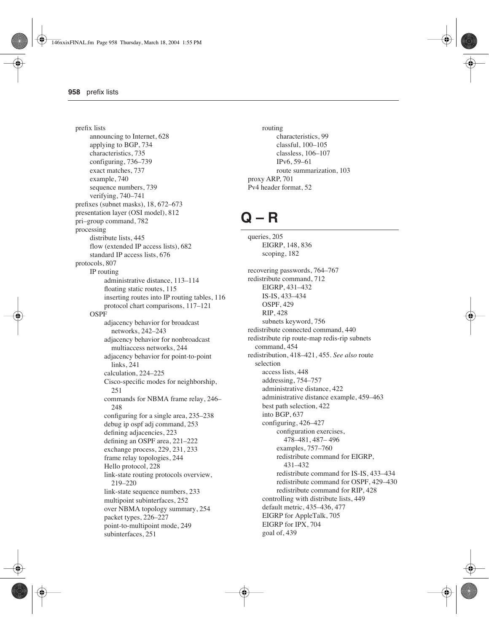prefix lists announcing to Internet, 628 applying to BGP, 734 characteristics, 735 configuring, 736–739 exact matches, 737 example, 740 sequence numbers, 739 verifying, 740–741 prefixes (subnet masks), 18, 672–673 presentation layer (OSI model), 812 pri–group command, 782 processing distribute lists, 445 flow (extended IP access lists), 682 standard IP access lists, 676 protocols, 807 IP routing administrative distance, 113–114 floating static routes, 115 inserting routes into IP routing tables, 116 protocol chart comparisons, 117–121 OSPF adjacency behavior for broadcast networks, 242–243 adjacency behavior for nonbroadcast multiaccess networks, 244 adjacency behavior for point-to-point links, 241 calculation, 224–225 Cisco-specific modes for neighborship, 251 commands for NBMA frame relay, 246– 248 configuring for a single area, 235–238 debug ip ospf adj command, 253 defining adjacencies, 223 defining an OSPF area, 221–222 exchange process, 229, 231, 233 frame relay topologies, 244 Hello protocol, 228 link-state routing protocols overview, 219–220 link-state sequence numbers, 233 multipoint subinterfaces, 252 over NBMA topology summary, 254 packet types, 226–227 point-to-multipoint mode, 249 subinterfaces, 251

routing characteristics, 99 classful, 100–105 classless, 106–107 IPv6, 59–61 route summarization, 103 proxy ARP, 701 Pv4 header format, 52

### **Q – R**

queries, 205

EIGRP, 148, 836 scoping, 182 recovering passwords, 764–767 redistribute command, 712 EIGRP, 431–432 IS-IS, 433–434 OSPF, 429 RIP, 428 subnets keyword, 756 redistribute connected command, 440 redistribute rip route-map redis-rip subnets command, 454 redistribution, 418–421, 455. *See also* route selection access lists, 448 addressing, 754–757 administrative distance, 422 administrative distance example, 459–463 best path selection, 422 into BGP, 637 configuring, 426–427 configuration exercises, 478–481, 487– 496 examples, 757–760 redistribute command for EIGRP, 431–432 redistribute command for IS-IS, 433–434 redistribute command for OSPF, 429–430 redistribute command for RIP, 428 controlling with distribute lists, 449 default metric, 435–436, 477 EIGRP for AppleTalk, 705 EIGRP for IPX, 704 goal of, 439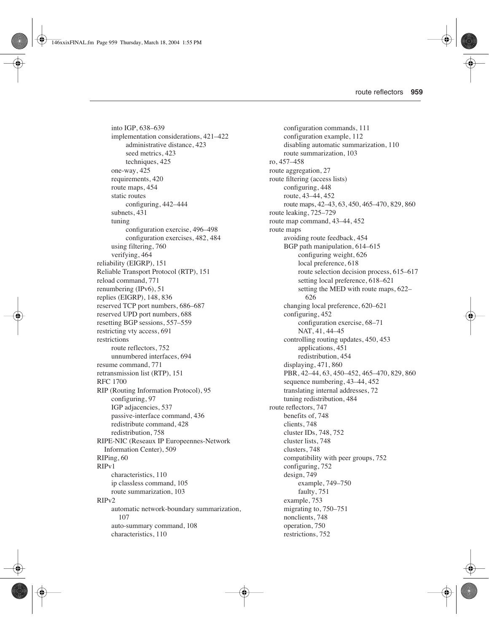into IGP, 638–639 implementation considerations, 421–422 administrative distance, 423 seed metrics, 423 techniques, 425 one-way, 425 requirements, 420 route maps, 454 static routes configuring, 442–444 subnets, 431 tuning configuration exercise, 496–498 configuration exercises, 482, 484 using filtering, 760 verifying, 464 reliability (EIGRP), 151 Reliable Transport Protocol (RTP), 151 reload command, 771 renumbering (IPv6), 51 replies (EIGRP), 148, 836 reserved TCP port numbers, 686–687 reserved UPD port numbers, 688 resetting BGP sessions, 557–559 restricting vty access, 691 restrictions route reflectors, 752 unnumbered interfaces, 694 resume command, 771 retransmission list (RTP), 151 RFC 1700 RIP (Routing Information Protocol), 95 configuring, 97 IGP adjacencies, 537 passive-interface command, 436 redistribute command, 428 redistribution, 758 RIPE-NIC (Reseaux IP Europeennes-Network Information Center), 509 RIPing, 60 RIPv1 characteristics, 110 ip classless command, 105 route summarization, 103 RIPv2 automatic network-boundary summarization, 107 auto-summary command, 108 characteristics, 110

configuration commands, 111 configuration example, 112 disabling automatic summarization, 110 route summarization, 103 ro, 457–458 route aggregation, 27 route filtering (access lists) configuring, 448 route, 43–44, 452 route maps, 42–43, 63, 450, 465–470, 829, 860 route leaking, 725–729 route map command, 43–44, 452 route maps avoiding route feedback, 454 BGP path manipulation, 614–615 configuring weight, 626 local preference, 618 route selection decision process, 615–617 setting local preference, 618–621 setting the MED with route maps, 622– 626 changing local preference, 620–621 configuring, 452 configuration exercise, 68–71 NAT, 41, 44–45 controlling routing updates, 450, 453 applications, 451 redistribution, 454 displaying, 471, 860 PBR, 42–44, 63, 450–452, 465–470, 829, 860 sequence numbering, 43–44, 452 translating internal addresses, 72 tuning redistribution, 484 route reflectors, 747 benefits of, 748 clients, 748 cluster IDs, 748, 752 cluster lists, 748 clusters, 748 compatibility with peer groups, 752 configuring, 752 design, 749 example, 749–750 faulty, 751 example, 753 migrating to, 750–751 nonclients, 748 operation, 750 restrictions, 752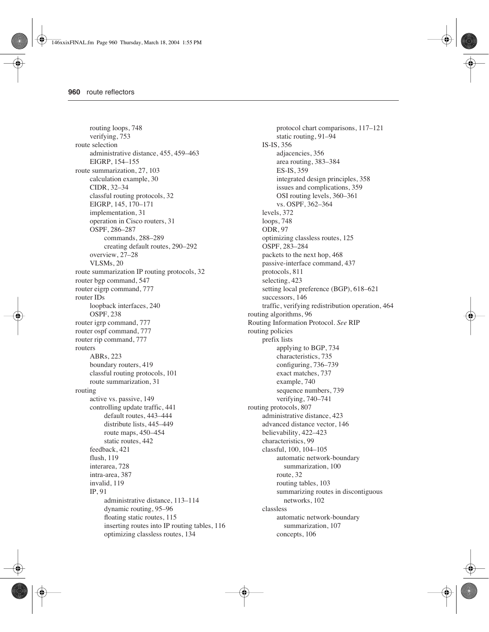routing loops, 748 verifying, 753 route selection administrative distance, 455, 459–463 EIGRP, 154–155 route summarization, 27, 103 calculation example, 30 CIDR, 32–34 classful routing protocols, 32 EIGRP, 145, 170–171 implementation, 31 operation in Cisco routers, 31 OSPF, 286–287 commands, 288–289 creating default routes, 290–292 overview, 27–28 VLSMs, 20 route summarization IP routing protocols, 32 router bgp command, 547 router eigrp command, 777 router IDs loopback interfaces, 240 OSPF, 238 router igrp command, 777 router ospf command, 777 router rip command, 777 routers ABRs, 223 boundary routers, 419 classful routing protocols, 101 route summarization, 31 routing active vs. passive, 149 controlling update traffic, 441 default routes, 443–444 distribute lists, 445–449 route maps, 450–454 static routes, 442 feedback, 421 flush, 119 interarea, 728 intra-area, 387 invalid, 119 IP, 91 administrative distance, 113–114 dynamic routing, 95–96 floating static routes, 115 inserting routes into IP routing tables, 116 optimizing classless routes, 134

protocol chart comparisons, 117–121 static routing, 91–94 IS-IS, 356 adjacencies, 356 area routing, 383–384 ES-IS, 359 integrated design principles, 358 issues and complications, 359 OSI routing levels, 360–361 vs. OSPF, 362–364 levels, 372 loops, 748 ODR, 97 optimizing classless routes, 125 OSPF, 283–284 packets to the next hop, 468 passive-interface command, 437 protocols, 811 selecting, 423 setting local preference (BGP), 618–621 successors, 146 traffic, verifying redistribution operation, 464 routing algorithms, 96 Routing Information Protocol. *See* RIP routing policies prefix lists applying to BGP, 734 characteristics, 735 configuring, 736–739 exact matches, 737 example, 740 sequence numbers, 739 verifying, 740–741 routing protocols, 807 administrative distance, 423 advanced distance vector, 146 believability, 422–423 characteristics, 99 classful, 100, 104–105 automatic network-boundary summarization, 100 route, 32 routing tables, 103 summarizing routes in discontiguous networks, 102 classless automatic network-boundary summarization, 107 concepts, 106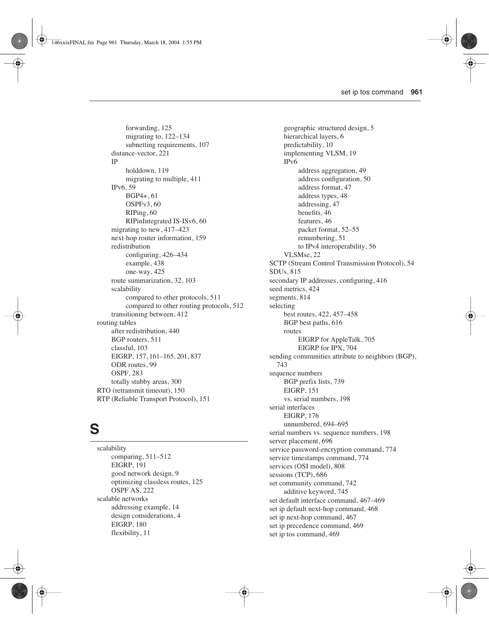forwarding, 125 migrating to, 122–134 subnetting requirements, 107 distance-vector, 221 IP holddown, 119 migrating to multiple, 411 IPv6, 59 BGP4+, 61 OSPFv3, 60 RIPing, 60 RIPinIntegrated IS-ISv6, 60 migrating to new, 417–423 next-hop router information, 159 redistribution configuring, 426–434 example, 438 one-way, 425 route summarization, 32, 103 scalability compared to other protocols, 511 compared to other routing protocols, 512 transitioning between, 412 routing tables after redistribution, 440 BGP routers, 511 classful, 103 EIGRP, 157, 161–165, 201, 837 ODR routes, 99 OSPF, 283 totally stubby areas, 300 RTO (retransmit timeout), 150 RTP (Reliable Transport Protocol), 151

# **S**

scalability comparing, 511–512 EIGRP, 191 good network design, 9 optimizing classless routes, 125 OSPF AS, 222 scalable networks addressing example, 14 design considerations, 4 EIGRP, 180 flexibility, 11

geographic structured design, 5 hierarchical layers, 6 predictability, 10 implementing VLSM, 19 IPv6 address aggregation, 49 address configuration, 50 address format, 47 address types, 48 addressing, 47 benefits, 46 features, 46 packet format, 52–55 renumbering, 51 to IPv4 interoperability, 56 VLSMse, 22 SCTP (Stream Control Transmission Protocol), 54 SDUs, 815 secondary IP addresses, configuring, 416 seed metrics, 424 segments, 814 selecting best routes, 422, 457–458 BGP best paths, 616 routes EIGRP for AppleTalk, 705 EIGRP for IPX, 704 sending communities attribute to neighbors (BGP), 743 sequence numbers BGP prefix lists, 739 EIGRP, 151 vs. serial numbers, 198 serial interfaces EIGRP, 176 unnumbered, 694–695 serial numbers vs. sequence numbers, 198 server placement, 696 service password-encryption command, 774 service timestamps command, 774 services (OSI model), 808 sessions (TCP), 686 set community command, 742 additive keyword, 745 set default interface command, 467–469 set ip default next-hop command, 468 set ip next-hop command, 467 set ip precedence command, 469 set ip tos command, 469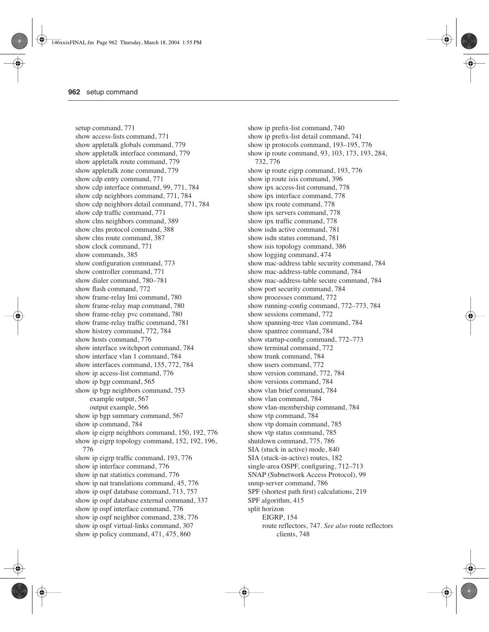setup command, 771 show access-lists command, 771 show appletalk globals command, 779 show appletalk interface command, 779 show appletalk route command, 779 show appletalk zone command, 779 show cdp entry command, 771 show cdp interface command, 99, 771, 784 show cdp neighbors command, 771, 784 show cdp neighbors detail command, 771, 784 show cdp traffic command, 771 show clns neighbors command, 389 show clns protocol command, 388 show clns route command, 387 show clock command, 771 show commands, 385 show configuration command, 773 show controller command, 771 show dialer command, 780–781 show flash command, 772 show frame-relay lmi command, 780 show frame-relay map command, 780 show frame-relay pvc command, 780 show frame-relay traffic command, 781 show history command, 772, 784 show hosts command, 776 show interface switchport command, 784 show interface vlan 1 command, 784 show interfaces command, 155, 772, 784 show ip access-list command, 776 show ip bgp command, 565 show ip bgp neighbors command, 753 example output, 567 output example, 566 show ip bgp summary command, 567 show ip command, 784 show ip eigrp neighbors command, 150, 192, 776 show ip eigrp topology command, 152, 192, 196, 776 show ip eigrp traffic command, 193, 776 show ip interface command, 776 show ip nat statistics command, 776 show ip nat translations command, 45, 776 show ip ospf database command, 713, 757 show ip ospf database external command, 337 show ip ospf interface command, 776 show ip ospf neighbor command, 238, 776 show ip ospf virtual-links command, 307 show ip policy command, 471, 475, 860

show ip prefix-list command, 740 show ip prefix-list detail command, 741 show ip protocols command, 193–195, 776 show ip route command, 93, 103, 173, 193, 284, 732, 776 show ip route eigrp command, 193, 776 show ip route isis command, 396 show ipx access-list command, 778 show ipx interface command, 778 show ipx route command, 778 show ipx servers command, 778 show ipx traffic command, 778 show isdn active command, 781 show isdn status command, 781 show isis topology command, 386 show logging command, 474 show mac-address table security command, 784 show mac-address-table command, 784 show mac-address-table secure command, 784 show port security command, 784 show processes command, 772 show running-config command, 772–773, 784 show sessions command, 772 show spanning-tree vlan command, 784 show spantree command, 784 show startup-config command, 772–773 show terminal command, 772 show trunk command, 784 show users command, 772 show version command, 772, 784 show versions command, 784 show vlan brief command, 784 show vlan command, 784 show vlan-membership command, 784 show vtp command, 784 show vtp domain command, 785 show vtp status command, 785 shutdown command, 775, 786 SIA (stuck in active) mode, 840 SIA (stuck-in-active) routes, 182 single-area OSPF, configuring, 712–713 SNAP (Subnetwork Access Protocol), 99 snmp-server command, 786 SPF (shortest path first) calculations, 219 SPF algorithm, 415 split horizon EIGRP, 154 route reflectors, 747. *See also* route reflectors clients, 748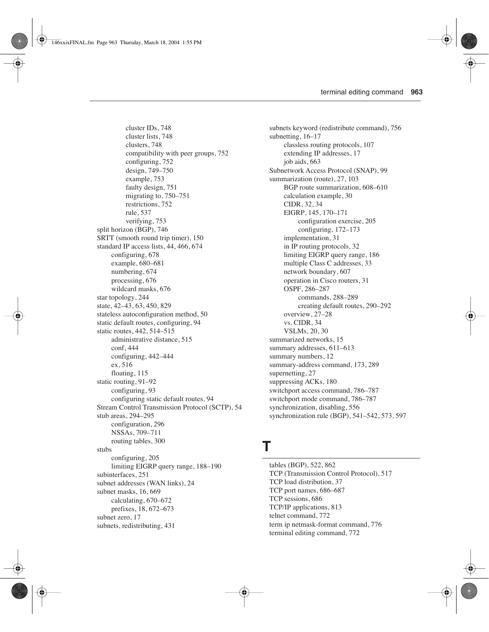cluster IDs, 748 cluster lists, 748 clusters, 748 compatibility with peer groups, 752 configuring, 752 design, 749–750 example, 753 faulty design, 751 migrating to, 750–751 restrictions, 752 rule, 537 verifying, 753 split horizon (BGP), 746 SRTT (smooth round trip timer), 150 standard IP access lists, 44, 466, 674 configuring, 678 example, 680–681 numbering, 674 processing, 676 wildcard masks, 676 star topology, 244 state, 42–43, 63, 450, 829 stateless autoconfiguration method, 50 static default routes, configuring, 94 static routes, 442, 514–515 administrative distance, 515 conf, 444 configuring, 442–444 ex, 516 floating, 115 static routing, 91–92 configuring, 93 configuring static default routes, 94 Stream Control Transmission Protocol (SCTP), 54 stub areas, 294–295 configuration, 296 NSSAs, 709–711 routing tables, 300 stubs configuring, 205 limiting EIGRP query range, 188–190 subinterfaces, 251 subnet addresses (WAN links), 24 subnet masks, 16, 669 calculating, 670–672 prefixes, 18, 672–673 subnet zero, 17 subnets, redistributing, 431

subnets keyword (redistribute command), 756 subnetting, 16–17 classless routing protocols, 107 extending IP addresses, 17 job aids, 663 Subnetwork Access Protocol (SNAP), 99 summarization (route), 27, 103 BGP route summarization, 608–610 calculation example, 30 CIDR, 32, 34 EIGRP, 145, 170–171 configuration exercise, 205 configuring, 172–173 implementation, 31 in IP routing protocols, 32 limiting EIGRP query range, 186 multiple Class C addresses, 33 network boundary, 607 operation in Cisco routers, 31 OSPF, 286–287 commands, 288–289 creating default routes, 290–292 overview, 27–28 vs. CIDR, 34 VSLMs, 20, 30 summarized networks, 15 summary addresses, 611–613 summary numbers, 12 summary-address command, 173, 289 supernetting, 27 suppressing ACKs, 180 switchport access command, 786–787 switchport mode command, 786–787 synchronization, disabling, 556 synchronization rule (BGP), 541–542, 573, 597

#### **T**

tables (BGP), 522, 862 TCP (Transmission Control Protocol), 517 TCP load distribution, 37 TCP port names, 686–687 TCP sessions, 686 TCP/IP applications, 813 telnet command, 772 term ip netmask-format command, 776 terminal editing command, 772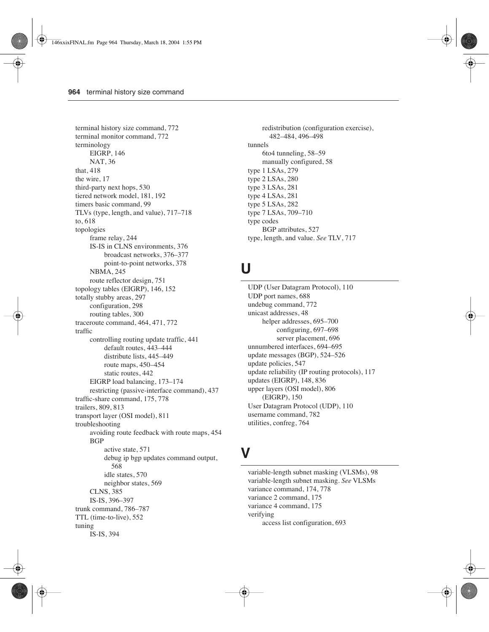terminal history size command, 772 terminal monitor command, 772 terminology EIGRP, 146 NAT, 36 that, 418 the wire, 17 third-party next hops, 530 tiered network model, 181, 192 timers basic command, 99 TLVs (type, length, and value), 717–718 to, 618 topologies frame relay, 244 IS-IS in CLNS environments, 376 broadcast networks, 376–377 point-to-point networks, 378 NBMA, 245 route reflector design, 751 topology tables (EIGRP), 146, 152 totally stubby areas, 297 configuration, 298 routing tables, 300 traceroute command, 464, 471, 772 traffic controlling routing update traffic, 441 default routes, 443–444 distribute lists, 445–449 route maps, 450–454 static routes, 442 EIGRP load balancing, 173–174 restricting (passive-interface command), 437 traffic-share command, 175, 778 trailers, 809, 813 transport layer (OSI model), 811 troubleshooting avoiding route feedback with route maps, 454 BGP active state, 571 debug ip bgp updates command output, 568 idle states, 570 neighbor states, 569 CLNS, 385 IS-IS, 396–397 trunk command, 786–787 TTL (time-to-live), 552 tuning IS-IS, 394

redistribution (configuration exercise), 482–484, 496–498 tunnels 6to4 tunneling, 58–59 manually configured, 58 type 1 LSAs, 279 type 2 LSAs, 280 type 3 LSAs, 281 type 4 LSAs, 281 type 5 LSAs, 282 type 7 LSAs, 709–710 type codes BGP attributes, 527 type, length, and value. *See* TLV, 717

### **U**

UDP (User Datagram Protocol), 110 UDP port names, 688 undebug command, 772 unicast addresses, 48 helper addresses, 695–700 configuring, 697–698 server placement, 696 unnumbered interfaces, 694–695 update messages (BGP), 524–526 update policies, 547 update reliability (IP routing protocols), 117 updates (EIGRP), 148, 836 upper layers (OSI model), 806 (EIGRP), 150 User Datagram Protocol (UDP), 110 username command, 782 utilities, confreg, 764

#### **V**

variable-length subnet masking (VLSMs), 98 variable-length subnet masking. *See* VLSMs variance command, 174, 778 variance 2 command, 175 variance 4 command, 175 verifying access list configuration, 693